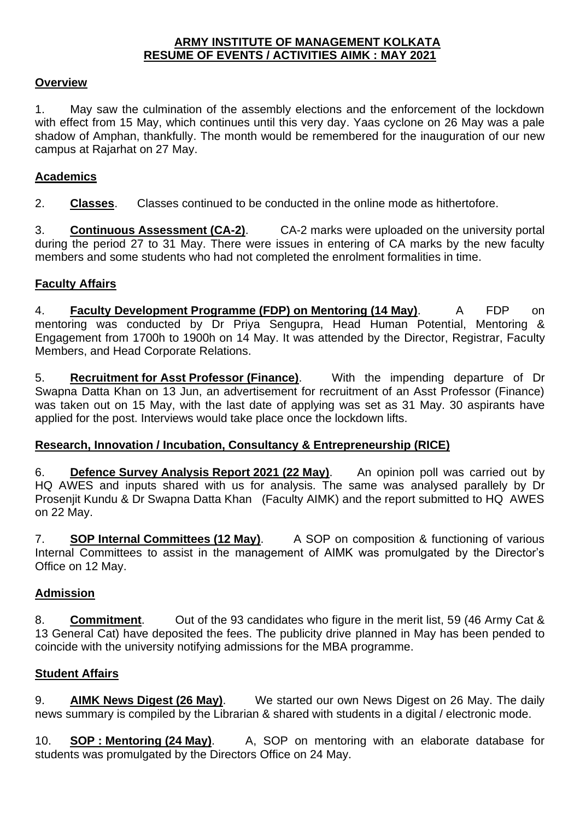#### **ARMY INSTITUTE OF MANAGEMENT KOLKATA RESUME OF EVENTS / ACTIVITIES AIMK : MAY 2021**

#### **Overview**

1. May saw the culmination of the assembly elections and the enforcement of the lockdown with effect from 15 May, which continues until this very day. Yaas cyclone on 26 May was a pale shadow of Amphan, thankfully. The month would be remembered for the inauguration of our new campus at Rajarhat on 27 May.

#### **Academics**

2. **Classes**. Classes continued to be conducted in the online mode as hithertofore.

3. **Continuous Assessment (CA-2)**. CA-2 marks were uploaded on the university portal during the period 27 to 31 May. There were issues in entering of CA marks by the new faculty members and some students who had not completed the enrolment formalities in time.

#### **Faculty Affairs**

4. **Faculty Development Programme (FDP) on Mentoring (14 May)**. A FDP on mentoring was conducted by Dr Priya Sengupra, Head Human Potential, Mentoring & Engagement from 1700h to 1900h on 14 May. It was attended by the Director, Registrar, Faculty Members, and Head Corporate Relations.

5. **Recruitment for Asst Professor (Finance)**. With the impending departure of Dr Swapna Datta Khan on 13 Jun, an advertisement for recruitment of an Asst Professor (Finance) was taken out on 15 May, with the last date of applying was set as 31 May. 30 aspirants have applied for the post. Interviews would take place once the lockdown lifts.

#### **Research, Innovation / Incubation, Consultancy & Entrepreneurship (RICE)**

6. **Defence Survey Analysis Report 2021 (22 May)**. An opinion poll was carried out by HQ AWES and inputs shared with us for analysis. The same was analysed parallely by Dr Prosenjit Kundu & Dr Swapna Datta Khan (Faculty AIMK) and the report submitted to HQ AWES on 22 May.

7. **SOP Internal Committees (12 May)**. A SOP on composition & functioning of various Internal Committees to assist in the management of AIMK was promulgated by the Director's Office on 12 May.

#### **Admission**

8. **Commitment**. Out of the 93 candidates who figure in the merit list, 59 (46 Army Cat & 13 General Cat) have deposited the fees. The publicity drive planned in May has been pended to coincide with the university notifying admissions for the MBA programme.

#### **Student Affairs**

9. **AIMK News Digest (26 May)**. We started our own News Digest on 26 May. The daily news summary is compiled by the Librarian & shared with students in a digital / electronic mode.

10. **SOP : Mentoring (24 May)**. A, SOP on mentoring with an elaborate database for students was promulgated by the Directors Office on 24 May.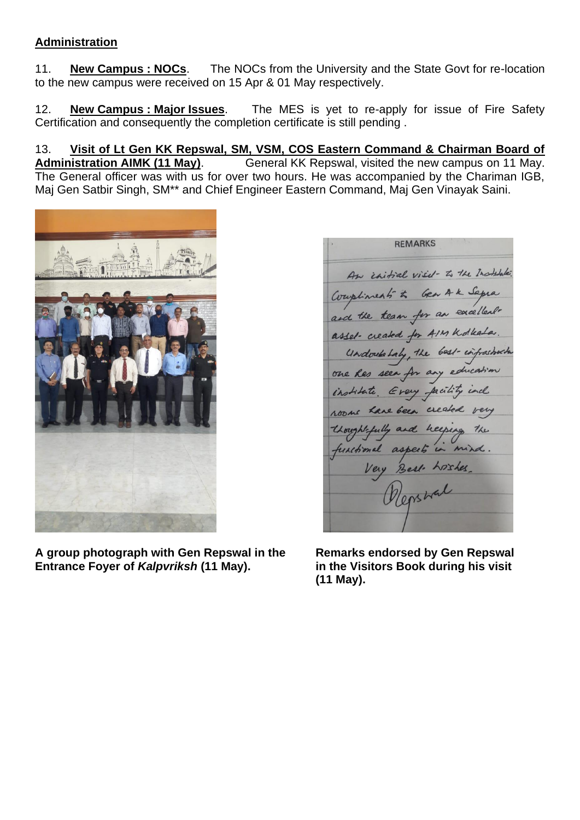#### **Administration**

11. **New Campus : NOCs**. The NOCs from the University and the State Govt for re-location to the new campus were received on 15 Apr & 01 May respectively.

12. **New Campus : Major Issues**. The MES is yet to re-apply for issue of Fire Safety Certification and consequently the completion certificate is still pending .

13. **Visit of Lt Gen KK Repswal, SM, VSM, COS Eastern Command & Chairman Board of Administration AIMK (11 May).** General KK Repswal, visited the new campus on 11 May. General KK Repswal, visited the new campus on 11 May. The General officer was with us for over two hours. He was accompanied by the Chariman IGB, Maj Gen Satbir Singh, SM\*\* and Chief Engineer Eastern Command, Maj Gen Vinayak Saini.



**A group photograph with Gen Repswal in the Remarks endorsed by Gen Repswal Entrance Foyer of** *Kalpvriksh* **(11 May). in the Visitors Book during his visit** 

**REMARKS** An initial visil- to the Institute: Compliments to Gen Ak Sepra and the team for an excellentassel- created for AIM Kollealer. Undouble Laby, the best-impactures one has seen for any education institute Every pacitity incl. rooms have been created very Unight-fully and helping the<br>functional aspects in mind.<br>Very Best hostes.

**(11 May).**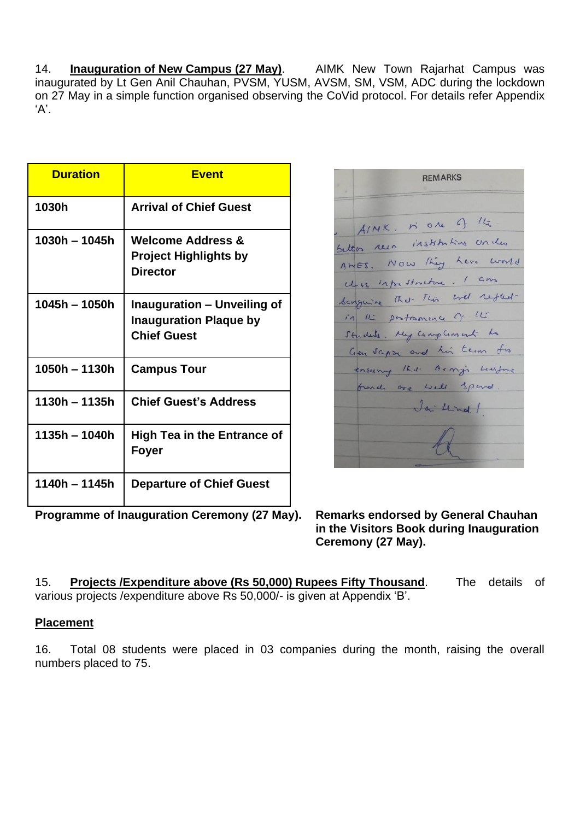14. **Inauguration of New Campus (27 May)**. AIMK New Town Rajarhat Campus was inaugurated by Lt Gen Anil Chauhan, PVSM, YUSM, AVSM, SM, VSM, ADC during the lockdown on 27 May in a simple function organised observing the CoVid protocol. For details refer Appendix 'A'.

| <b>Duration</b> | <b>Event</b>                                                                       |  |
|-----------------|------------------------------------------------------------------------------------|--|
| 1030h           | <b>Arrival of Chief Guest</b>                                                      |  |
| 1030h - 1045h   | <b>Welcome Address &amp;</b><br><b>Project Highlights by</b><br><b>Director</b>    |  |
| 1045h - 1050h   | Inauguration – Unveiling of<br><b>Inauguration Plaque by</b><br><b>Chief Guest</b> |  |
| 1050h - 1130h   | <b>Campus Tour</b>                                                                 |  |
| 1130h - 1135h   | <b>Chief Guest's Address</b>                                                       |  |
| 1135h - 1040h   | High Tea in the Entrance of<br><b>Foyer</b>                                        |  |
| 1140h – 1145h   | <b>Departure of Chief Guest</b>                                                    |  |

**Programme of Inauguration Ceremony (27 May). Remarks endorsed by General Chauhan** 

**REMARKS** AINK, is one of the better rein institutions under AWES. Now they have world class inforthmental. I am Senguine that This will reflect in the postromance of the Students. My complement ha Gen sapse and his term for ensuring that Army's Lautine funds ore well spend. Jai Hind 1

**in the Visitors Book during Inauguration Ceremony (27 May).**

15. **Projects /Expenditure above (Rs 50,000) Rupees Fifty Thousand**. The details of various projects /expenditure above Rs 50,000/- is given at Appendix 'B'.

#### **Placement**

16. Total 08 students were placed in 03 companies during the month, raising the overall numbers placed to 75.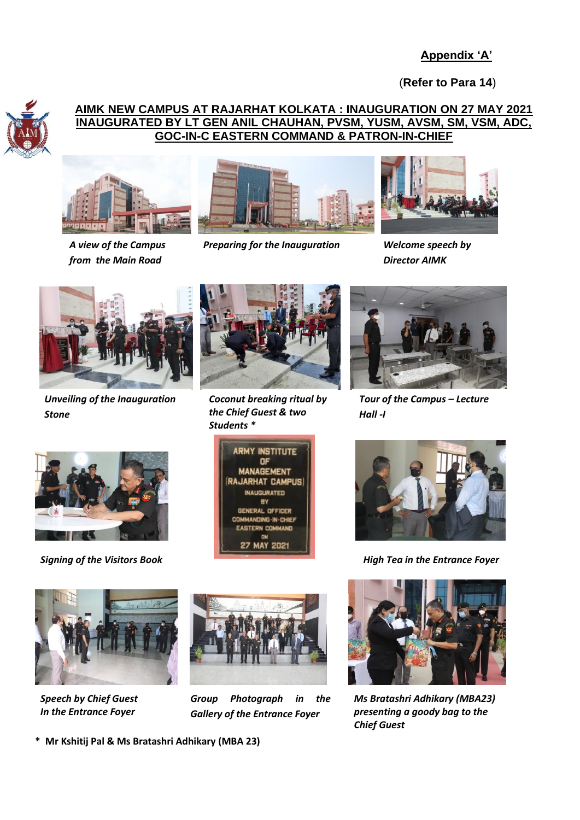### **Appendix 'A'**

(**Refer to Para 14**)



#### **AIMK NEW CAMPUS AT RAJARHAT KOLKATA : INAUGURATION ON 27 MAY 2021 INAUGURATED BY LT GEN ANIL CHAUHAN, PVSM, YUSM, AVSM, SM, VSM, ADC, GOC-IN-C EASTERN COMMAND & PATRON-IN-CHIEF**



*A view of the Campus from the Main Road*



*Preparing for the Inauguration Welcome speech by* 



*Director AIMK*



*Unveiling of the Inauguration Stone*



*Coconut breaking ritual by the Chief Guest & two Students \**



*Tour of the Campus – Lecture Hall -I*



*Signing of the Visitors Book*





*High Tea in the Entrance Foyer*



*Speech by Chief Guest In the Entrance Foyer*



*Group Photograph in the Gallery of the Entrance Foyer*



*Ms Bratashri Adhikary (MBA23) presenting a goody bag to the Chief Guest*

**\* Mr Kshitij Pal & Ms Bratashri Adhikary (MBA 23)**